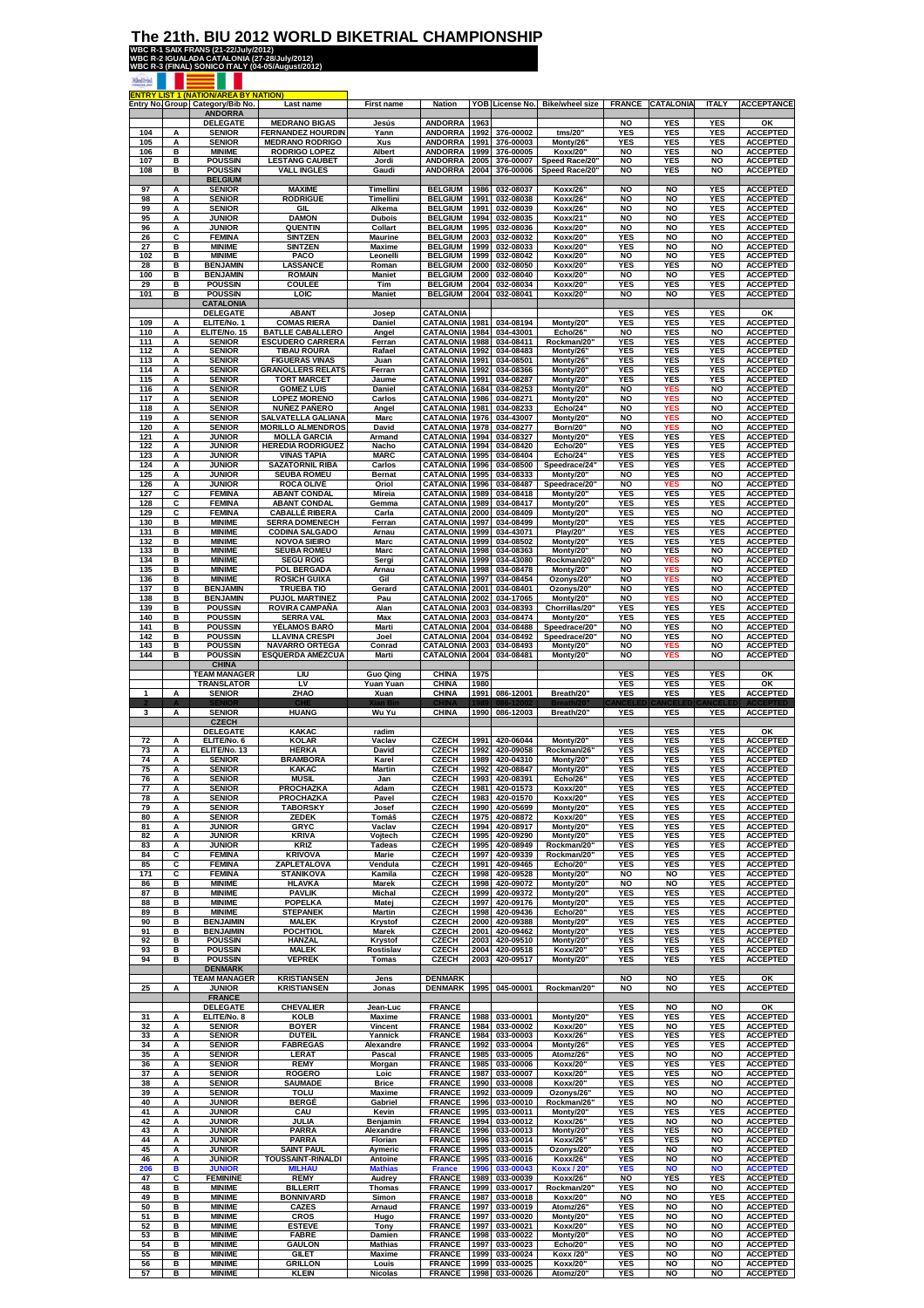## **The 21th. BIU 2012 WORLD BIKETRIAL CHAMPIONSHIP**<br>WBC R-1 SAIX FRANS (21-22/July/2012)<br>WBC R-2 IGUALADA CATALONIA (27-28/July/2012)<br>WBC R-3 (FINAL) SONICO ITALY (04-05/August/2012)

|              |   | <b>ENTRY LIST 1 (NATION/AREA BY NATION)</b><br>Entry No. Group Category/Bib No. | Last name                | <b>First name</b>  | <b>Nation</b>                  |      | YOB License No. | <b>Bike/wheel size</b>    | <b>FRANCE</b>            | <b>CATALONIA</b> | <b>ITALY</b>            | <b>ACCEPTANCE</b>                  |
|--------------|---|---------------------------------------------------------------------------------|--------------------------|--------------------|--------------------------------|------|-----------------|---------------------------|--------------------------|------------------|-------------------------|------------------------------------|
|              |   | <b>ANDORRA</b><br><b>DELEGATE</b>                                               | <b>MEDRANO BIGAS</b>     | Jesús              | <b>ANDORRA</b>                 | 1963 |                 |                           | <b>NO</b>                | YES              | <b>YES</b>              | οк                                 |
| 104          | А | <b>SENIOR</b>                                                                   | <b>FERNANDEZ HOURDIN</b> | Yann               | <b>ANDORRA</b>                 | 1992 | 376-00002       | tms/20                    | <b>YES</b>               | <b>YES</b>       | <b>YES</b>              | <b>ACCEPTED</b>                    |
| 105          | А | <b>SENIOR</b>                                                                   | <b>MEDRANO RODRIGO</b>   | Xus                | <b>ANDORRA</b>                 | 1991 | 376-00003       | Monty/26                  | <b>YES</b>               | <b>YES</b>       | <b>YES</b>              | <b>ACCEPTED</b>                    |
| 106          | в | <b>MINIME</b>                                                                   | <b>RODRIGO LOPEZ</b>     | Albert             | <b>ANDORRA</b>                 | 1999 | 376-00005       | Koxx/20'                  | <b>NO</b>                | <b>YES</b>       | <b>NO</b>               | <b>ACCEPTED</b>                    |
| 107          | в | <b>POUSSIN</b>                                                                  | <b>LESTANG CAUBET</b>    | Jordi              | <b>ANDORRA</b>                 | 2005 | 376-00007       | Speed Race/20"            | <b>NO</b>                | <b>YES</b>       | <b>NO</b>               | <b>ACCEPTED</b>                    |
| 108          | в | <b>POUSSIN</b><br><b>BELGIUM</b>                                                | <b>VALL INGLES</b>       | Gaudi              | <b>ANDORRA</b>                 | 2004 | 376-00006       | Speed Race/20"            | <b>NO</b>                | YES              | <b>NO</b>               | <b>ACCEPTED</b>                    |
| 97           | Α | <b>SENIOR</b>                                                                   | <b>MAXIME</b>            | Timellini          | <b>BELGIUM</b>                 | 1986 | 032-08037       | Koxx/26                   | <b>NO</b>                | <b>NO</b>        | <b>YES</b>              | <b>ACCEPTED</b>                    |
| 98           | Α | <b>SENIOR</b>                                                                   | <b>RODRIGUE</b>          | Timellini          | <b>BELGIUM</b>                 | 1991 | 032-08038       | <b>Koxx/26</b>            | <b>NO</b>                | <b>NO</b>        | <b>YES</b>              | <b>ACCEPTED</b>                    |
| 99           | Α | <b>SENIOR</b>                                                                   | GIL                      | Alkema             | <b>BELGIUM</b>                 | 1991 | 032-08039       | <b>Koxx/26</b>            | <b>NO</b>                | <b>NO</b>        | <b>YES</b>              | <b>ACCEPTED</b>                    |
| 95           | Α | <b>JUNIOR</b>                                                                   | <b>DAMON</b>             | <b>Dubois</b>      | <b>BELGIUM</b>                 | 1994 | 032-08035       | <b>Koxx/21</b>            | <b>NO</b>                | <b>NO</b>        | <b>YES</b>              | <b>ACCEPTED</b>                    |
| 96           | A | <b>JUNIOR</b>                                                                   | <b>QUENTIN</b>           | Collart            | <b>BELGIUM</b>                 | 1995 | 032-08036       | <b>Koxx/20</b>            | <b>NO</b>                | <b>NO</b>        | <b>YES</b>              | <b>ACCEPTED</b>                    |
| 26           | C | <b>FEMINA</b>                                                                   | <b>SINTZEN</b>           | Maurine            | <b>BELGIUM</b>                 | 2003 | 032-08032       | Koxx/20'                  | <b>YES</b>               | <b>NO</b>        | <b>NO</b>               | <b>ACCEPTED</b>                    |
| 27           | в | <b>MINIME</b>                                                                   | <b>SINTZEN</b>           | Maxime             | <b>BELGIUM</b>                 | 1999 | 032-08033       | Koxx/20'                  | <b>YES</b>               | <b>NO</b>        | <b>NO</b>               | <b>ACCEPTED</b>                    |
| 102          | в | <b>MINIME</b>                                                                   | PACO                     | Leonelli           | <b>BELGIUM</b>                 | 1999 | 032-08042       | Koxx/20'                  | <b>NO</b>                | NO               | YES                     | <b>ACCEPTED</b>                    |
| 28           | в | <b>BENJAMIN</b>                                                                 | LASSANCE                 | Roman              | <b>BELGIUM</b>                 | 2000 | 032-08050       | Koxx/20'                  | <b>YES</b>               | YES              | <b>NO</b>               | <b>ACCEPTED</b>                    |
| 100          | в | <b>BENJAMIN</b>                                                                 | <b>ROMAIN</b>            | <b>Maniet</b>      | <b>BELGIUM</b>                 | 2000 | 032-08040       | Koxx/20'                  | <b>NO</b>                | <b>NO</b>        | <b>YES</b>              | <b>ACCEPTED</b>                    |
| 29           | в | <b>POUSSIN</b>                                                                  | COULEE                   | Tim                | <b>BELGIUM</b>                 | 2004 | 032-08034       | Koxx/20'                  | <b>YES</b>               | <b>YES</b>       | <b>YES</b>              | <b>ACCEPTED</b>                    |
| 101          | в | <b>POUSSIN</b>                                                                  | LOIC                     | <b>Maniet</b>      | <b>BELGIUM</b>                 | 2004 | 032-08041       | Koxx/20'                  | NO                       | NO               | <b>YES</b>              | <b>ACCEPTED</b>                    |
|              |   | <b>CATALONIA</b><br><b>DELEGATE</b>                                             | <b>ABANT</b>             | Josep              | CATALONIA                      |      |                 |                           | <b>YES</b>               | YES              | <b>YES</b>              | ок                                 |
| 109          | А | ELITE/No. 1                                                                     | <b>COMAS RIERA</b>       | Daniel             | CATALONIA                      | 1981 | 034-08194       | Monty/20                  | <b>YES</b>               | YES              | <b>YES</b>              | <b>ACCEPTED</b>                    |
| 110          | Α | ELITE/No. 15                                                                    | <b>BATLLE CABALLERO</b>  | Angel              | CATALONIA                      | 1984 | 034-43001       | Echo/26'                  | <b>NO</b>                | <b>YES</b>       | <b>NO</b>               | <b>ACCEPTED</b>                    |
| 111          | A | <b>SENIOR</b>                                                                   | <b>ESCUDERO CARRERA</b>  | Ferran             | CATALONIA                      | 1988 | 034-08411       | Rockman/20'               | <b>YES</b>               | <b>YES</b>       | <b>YES</b>              | <b>ACCEPTED</b>                    |
| 112          | A | <b>SENIOR</b>                                                                   | <b>TIBAU ROURA</b>       | Rafael             | CATALONIA                      | 1992 | 034-08483       | Monty/26'                 | <b>YES</b>               | <b>YES</b>       | <b>YES</b>              | <b>ACCEPTED</b>                    |
| 113          | A | <b>SENIOR</b>                                                                   | <b>FIGUERAS VIÑAS</b>    | Juan               | CATALONIA                      | 1991 | 034-08501       | Monty/26'                 | <b>YES</b>               | YES              | <b>YES</b>              | <b>ACCEPTED</b>                    |
| 114          | A | <b>SENIOR</b>                                                                   | <b>GRANOLLERS RELATS</b> | Ferran             | <b>CATALONIA</b>               | 1992 | 034-08366       | Monty/20'                 | <b>YES</b>               | YES              | <b>YES</b>              | <b>ACCEPTED</b>                    |
| 115          | А | <b>SENIOR</b>                                                                   | <b>TORT MARCET</b>       | Jaume              | CATALONIA                      | 1991 | 034-08287       | Monty/20'                 | <b>YES</b>               | <b>YES</b>       | <b>YES</b>              | <b>ACCEPTED</b>                    |
| 116          | А | <b>SENIOR</b>                                                                   | <b>GOMEZ LUIS</b>        | Daniel             | <b>CATALONIA</b>               | 1684 | 034-08253       | Monty/20'                 | <b>NO</b>                | <b>YES</b>       | <b>NO</b>               | <b>ACCEPTED</b>                    |
| 117          | А | <b>SENIOR</b>                                                                   | <b>LOPEZ MORENO</b>      | Carlos             | <b>CATALONIA</b>               | 1986 | 034-08271       | Monty/20'                 | <b>NO</b>                | <b>YES</b>       | <b>NO</b>               | <b>ACCEPTED</b>                    |
| 118          | А | <b>SENIOR</b>                                                                   | <b>NUÑEZ PAÑERO</b>      | Angel              | CATALONIA                      | 1981 | 034-08233       | Echo/24                   | <b>NO</b>                | <b>YES</b>       | <b>NO</b>               | <b>ACCEPTED</b><br><b>ACCEPTED</b> |
| 119          | А | <b>SENIOR</b>                                                                   | SALVATELLA GALIANA       | Marc               | CATALONIA                      | 1976 | 034-43007       | Monty/20'                 | NO                       | <b>YES</b>       | <b>NO</b>               | <b>ACCEPTED</b>                    |
| 120          | А | <b>SENIOR</b>                                                                   | <b>MORILLO ALMENDROS</b> | David              | CATALONIA                      | 1978 | 034-08277       | Born/20'                  | NO                       | <b>YES</b>       | <b>NO</b>               |                                    |
| 121          | Α | <b>JUNIOR</b>                                                                   | MOLLÀ GARCIA             | Armand             | CATALONIA                      | 1994 | 034-08327       | Monty/20                  | <b>YES</b>               | <b>YES</b>       | <b>YES</b>              | <b>ACCEPTED</b>                    |
| 122          | Α | <b>JUNIOR</b>                                                                   | <b>HEREDIA RODRIGUEZ</b> | Nacho              | <b>CATALONIA</b>               | 1994 | 034-08420       | Echo/20'                  | <b>YES</b>               | <b>YES</b>       | <b>YES</b>              | <b>ACCEPTED</b>                    |
| 123          | Α | <b>JUNIOR</b>                                                                   | VIÑAS TAPIA              | <b>MARC</b>        | CATALONIA                      | 1995 | 034-08404       | Echo/24                   | <b>YES</b>               | <b>YES</b>       | <b>YES</b>              | <b>ACCEPTED</b>                    |
| 124          | A | <b>JUNIOR</b>                                                                   | <b>SAZATORNIL RIBA</b>   | Carlos             | CATALONIA                      | 1996 | 034-08500       | Speedrace/24"             | <b>YES</b>               | YES              | <b>YES</b>              | <b>ACCEPTED</b>                    |
| 125          | A | <b>JUNIOR</b>                                                                   | <b>SEUBA ROMEU</b>       | <b>Bernat</b>      | CATALONIA                      | 1995 | 034-08333       | Monty/20                  | <b>NO</b>                | YES              | <b>NO</b>               | <b>ACCEPTED</b>                    |
| 126          | A | <b>JUNIOR</b>                                                                   | <b>ROCA OLIVÉ</b>        | Oriol              | CATALONIA                      | 1996 | 034-08487       |                           | <b>NO</b>                | <b>YES</b>       | <b>NO</b>               | <b>ACCEPTED</b>                    |
| 127          | С | <b>FEMINA</b>                                                                   | <b>ABANT CONDAL</b>      | Mireia             | <b>CATALONIA</b>               | 1989 | 034-08418       | Speedrace/20'<br>Monty/20 | <b>YES</b>               | <b>YES</b>       | <b>YES</b>              | <b>ACCEPTED</b>                    |
| 128          | с | <b>FEMINA</b>                                                                   | <b>ABANT CONDAL</b>      | Gemma              | <b>CATALONIA</b>               | 1989 | 034-08417       | Monty/20'                 | <b>YES</b>               | YES              | <b>YES</b>              | <b>ACCEPTED</b>                    |
| 129          | С | <b>FEMINA</b>                                                                   | <b>CABALLÉ RIBERA</b>    | Carla              | <b>CATALONIA</b>               | 2000 | 034-08409       | Monty/20'                 | <b>YES</b>               | <b>YES</b>       | <b>NO</b>               | <b>ACCEPTED</b>                    |
| 130          | В | <b>MINIME</b>                                                                   | <b>SERRA DOMENECH</b>    | Ferran             | CATALONIA                      | 1997 | 034-08499       | Monty/20'                 | <b>YES</b>               | YES              | <b>YES</b>              | <b>ACCEPTED</b>                    |
| 131          | в | <b>MINIME</b>                                                                   | <b>CODINA SALGADO</b>    | Arnau              | CATALONIA                      | 1999 | 034-43071       | Play/20'                  | <b>YES</b>               | <b>YES</b>       | <b>YES</b>              | <b>ACCEPTED</b>                    |
| 132          | в | <b>MINIME</b>                                                                   | <b>NOVOA SIEIRO</b>      | Marc               | CATALONIA                      | 1999 | 034-08502       | Monty/20                  | <b>YES</b>               | <b>YES</b>       | <b>YES</b>              | <b>ACCEPTED</b>                    |
| 133          | в | <b>MINIME</b>                                                                   | <b>SEUBA ROMEU</b>       | Marc               | CATALONIA                      | 1998 | 034-08363       | Monty/20'                 | <b>NO</b>                | YES              | <b>NO</b>               | <b>ACCEPTED</b>                    |
| 134          | в | <b>MINIME</b>                                                                   | SEGÚ ROIG                | Sergi              | CATALONIA                      | 1999 | 034-43080       | Rockman/20                | <b>NO</b>                | <b>YES</b>       | <b>NO</b>               | <b>ACCEPTED</b>                    |
| 135          | в | <b>MINIME</b>                                                                   | POL BERGADA              | Arnau              | CATALONIA                      | 1998 | 034-08478       | Monty/20"                 | <b>NO</b>                | <b>YES</b>       | <b>NO</b>               | <b>ACCEPTED</b>                    |
| 136          | в | <b>MINIME</b>                                                                   | <b>ROSICH GUIXÀ</b>      | Gil                | CATALONIA                      | 1997 | 034-08454       | Ozonys/20"                | <b>NO</b>                | <b>YES</b>       | <b>NO</b>               | <b>ACCEPTED</b>                    |
| 137          | в | <b>BENJAMIN</b>                                                                 | <b>TRUEBA TIÓ</b>        | Gerard             | CATALONIA                      | 2001 | 034-08401       | Ozonys/20'                | <b>NO</b>                | <b>YES</b>       | <b>NO</b>               | <b>ACCEPTED</b>                    |
| 138          | B | <b>BENJAMIN</b>                                                                 | <b>PUJOL MARTINEZ</b>    | Pau                | CATALONIA                      | 2002 | 034-17065       | Monty/20"                 | <b>NO</b>                | <b>YES</b>       | <b>NO</b>               | <b>ACCEPTED</b>                    |
| 139          | в | <b>POUSSIN</b>                                                                  | <b>ROVIRA CAMPAÑA</b>    | Alan               | <b>CATALONIA</b>               | 2003 | 034-08393       | Chorrillas/20'            | <b>YES</b>               | YES              | <b>YES</b>              | <b>ACCEPTED</b>                    |
| 140          | в | <b>POUSSIN</b>                                                                  | <b>SERRA VAL</b>         | Max                | <b>CATALONIA</b>               | 2003 | 034-08474       | Monty/20'                 | <b>YES</b>               | <b>YES</b>       | <b>YES</b>              | <b>ACCEPTED</b>                    |
| 141          | в | <b>POUSSIN</b>                                                                  | <b>YÉLAMOS BARÓ</b>      | Marti              | <b>CATALONIA</b>               | 2004 | 034-08488       | Speedrace/20"             | <b>NO</b>                | <b>YES</b>       | <b>NO</b>               | <b>ACCEPTED</b>                    |
| 142          | в | <b>POUSSIN</b>                                                                  | <b>LLAVINA CRESPI</b>    | Joel               | <b>CATALONIA</b>               | 2004 | 034-08492       | Speedrace/20"             | <b>NO</b>                | <b>YES</b>       | <b>NO</b>               | <b>ACCEPTED</b>                    |
| 143          | в | <b>POUSSIN</b>                                                                  | <b>NAVARRO ORTEGA</b>    | Conrad             | CATALONIA                      | 2003 | 034-08493       | Monty/20"                 | NO                       | <b>YES</b>       | <b>NO</b>               | <b>ACCEPTED</b>                    |
| 144          | в | <b>POUSSIN</b><br><b>CHINA</b>                                                  | <b>ESQUERDA AMÉZCUA</b>  | Marti              | CATALONIA                      | 2004 | 034-08481       | Monty/20"                 | NO                       | <b>YES</b>       | <b>NO</b>               | <b>ACCEPTED</b>                    |
|              |   | <b>TEAM MANAGER</b>                                                             | LIU                      | <b>Guo Qing</b>    | CHINA                          | 1975 |                 |                           | <b>YES</b>               | <b>YES</b>       | <b>YES</b>              | OK                                 |
|              |   | <b>TRANSLATOR</b>                                                               | LV                       | Yuan Yuan          | CHINA                          | 1980 |                 |                           | <b>YES</b>               | <b>YES</b>       | <b>YES</b>              | ΟK                                 |
| $\mathbf{1}$ | A | <b>SENIOR</b>                                                                   | ZHAO                     | Xuan               | <b>CHINA</b>                   | 1991 | 086-12001       | Breath/20                 | <b>YES</b>               | <b>YES</b>       | <b>YES</b>              | <b>ACCEPTED</b>                    |
| 3            | A | <b>SENIOR</b><br><b>CZECH</b>                                                   | <b>HUANG</b>             | Wu Yu              | CHINA                          | 1990 | 086-12003       | Breath/20'                | <b>YES</b>               | YES              | <b>YES</b>              | <b>ACCEPTED</b>                    |
|              |   | <b>DELEGATE</b>                                                                 | <b>KAKAC</b>             | radim              |                                |      |                 |                           | <b>YES</b>               | <b>YES</b>       | <b>YES</b>              | OK                                 |
| 72           | Α | ELITE/No. 6                                                                     | <b>KOLAR</b>             | Vaclav             | <b>CZECH</b>                   | 1991 | 420-06044       | Monty/20'                 | <b>YES</b>               | YES              | <b>YES</b>              | <b>ACCEPTED</b>                    |
| 73           | Α | ELITE/No. 13                                                                    | <b>HERKA</b>             | David              | <b>CZECH</b>                   | 1992 | 420-09058       | Rockman/26                | <b>YES</b>               | <b>YES</b>       | <b>YES</b>              | <b>ACCEPTED</b>                    |
| 74           | Α | <b>SENIOR</b>                                                                   | <b>BRAMBORA</b>          | Karel              | <b>CZECH</b>                   | 1989 | 420-04310       | Monty/20'                 | <b>YES</b>               | YES              | YES                     | <b>ACCEPTED</b>                    |
| 75           | Α | <b>SENIOR</b>                                                                   | <b>KAKAC</b>             | Martin             | <b>CZECH</b>                   | 1992 | 420-08847       | Monty/20                  | <b>YES</b>               | YES              | <b>YES</b>              | <b>ACCEPTED</b>                    |
| 76           | Α | <b>SENIOR</b>                                                                   | <b>MUSIL</b>             | Jan                | <b>CZECH</b>                   | 1993 | 420-08391       | Echo/26'                  | <b>YES</b>               | YES              | <b>YES</b>              | <b>ACCEPTED</b>                    |
| $\epsilon$   | A | SENIUK                                                                          | PROCHAZKA                | Adam               | CZECH                          | 1981 | 420-01573       | KOXX/20                   | YES                      | 1 E.S            | 1 E.S                   | <b>AUGEPIED</b>                    |
| 78           | Α | <b>SENIOR</b>                                                                   | PROCHAZKA                | Pavel              | <b>CZECH</b>                   | 1983 | 420-01570       | Koxx/20"                  | <b>YES</b>               | <b>YES</b>       | <b>YES</b>              | <b>ACCEPTED</b>                    |
| 79           | Α | <b>SENIOR</b>                                                                   | <b>TABORSKY</b>          | Josef              | <b>CZECH</b>                   | 1990 | 420-05699       | Monty/20'                 | <b>YES</b>               | <b>YES</b>       | <b>YES</b>              | <b>ACCEPTED</b>                    |
| 80           | Α | <b>SENIOR</b>                                                                   | <b>ZEDEK</b>             | Tomáš              | <b>CZECH</b>                   | 1975 | 420-08872       | Koxx/20"                  | <b>YES</b>               | YES              | <b>YES</b>              | <b>ACCEPTED</b>                    |
| 81           | Α | <b>JUNIOR</b>                                                                   | GRYC                     | Vaclav             | <b>CZECH</b>                   | 1994 | 420-08917       |                           | <b>YES</b>               | YES              | <b>YES</b>              | <b>ACCEPTED</b>                    |
| 82           | Α | <b>JUNIOR</b>                                                                   | <b>KRIVA</b>             | Vojtech            | <b>CZECH</b>                   | 1995 | 420-09290       | Monty/20'<br>Monty/20'    | <b>YES</b>               | YES              | <b>YES</b>              | <b>ACCEPTED</b>                    |
| 83           | Α | <b>JUNIOR</b>                                                                   | KRIZ                     | <b>Tadeas</b>      | <b>CZECH</b>                   | 1995 | 420-08949       | Rockman/20'               | <b>YES</b>               | <b>YES</b>       | <b>YES</b>              | <b>ACCEPTED</b>                    |
| 84           | c | <b>FEMINA</b>                                                                   | <b>KRIVOVA</b>           | Marie              | <b>CZECH</b>                   | 1997 | 420-09339       | Rockman/20"               | <b>YES</b>               | <b>YES</b>       | <b>YES</b>              | <b>ACCEPTED</b>                    |
| 85           | с | <b>FEMINA</b>                                                                   | ZAPLETALOVA              | Vendula            | <b>CZECH</b>                   | 1991 | 420-09465       | Echo/20"                  | <b>YES</b>               | <b>YES</b>       | <b>YES</b>              | <b>ACCEPTED</b>                    |
| 171          | с | <b>FEMINA</b>                                                                   | <b>STANIKOVA</b>         | Kamila             | <b>CZECH</b>                   | 1998 | 420-09528       | Monty/20"                 | <b>NO</b>                | <b>NO</b>        | <b>YES</b>              | <b>ACCEPTED</b>                    |
| 86           | в | <b>MINIME</b>                                                                   | <b>HLAVKA</b>            | Marek              | <b>CZECH</b>                   | 1998 | 420-09072       | Monty/20'                 | NO                       | <b>NO</b>        | <b>YES</b>              | <b>ACCEPTED</b>                    |
| 87           | в | <b>MINIME</b>                                                                   | <b>PAVLIK</b>            | Michal             | <b>CZECH</b>                   | 1999 | 420-09372       | Monty/20'                 | YES                      | YES              | <b>YES</b>              | <b>ACCEPTED</b>                    |
| 88           | в | <b>MINIME</b>                                                                   | <b>POPELKA</b>           | Matej              | <b>CZECH</b>                   | 1997 | 420-09176       | Monty/20'                 | <b>YES</b>               | <b>YES</b>       | <b>YES</b>              | <b>ACCEPTED</b>                    |
| 89           | В | <b>MINIME</b>                                                                   | <b>STEPANEK</b>          | Martin             | <b>CZECH</b>                   | 1998 | 420-09436       | Echo/20"                  | <b>YES</b>               | <b>YES</b>       | <b>YES</b>              | <b>ACCEPTED</b>                    |
| 90           | в | <b>BENJAIMIN</b>                                                                | <b>MALEK</b>             | Krystof            | <b>CZECH</b>                   | 2000 | 420-09388       | Monty/20                  | <b>YES</b>               | <b>YES</b>       | <b>YES</b>              | <b>ACCEPTED</b>                    |
| 91           | В | <b>BENJAIMIN</b>                                                                | <b>POCHTIOL</b>          | <b>Marek</b>       | <b>CZECH</b>                   | 2001 | 420-09462       | Montv/20"                 | <b>YES</b>               | <b>YES</b>       | <b>YES</b>              | <b>ACCEPTED</b>                    |
| 92           | В | <b>POUSSIN</b>                                                                  | <b>HANZAL</b>            | Krystof            | <b>CZECH</b>                   | 2003 | 420-09510       | Monty/20"                 | <b>YES</b>               | YES              | <b>YES</b>              | <b>ACCEPTED</b>                    |
| 93           | в | <b>POUSSIN</b>                                                                  | <b>MALEK</b>             | Rostislav          | CZECH                          | 2004 | 420-09518       | Koxx/20"                  | <b>YES</b>               | YES              | YES                     | <b>ACCEPTED</b>                    |
| 94           | В | <b>POUSSIN</b>                                                                  | <b>VEPREK</b>            | <b>Tomas</b>       | <b>CZECH</b>                   | 2003 | 420-09517       | Monty/20"                 | <b>YES</b>               | <b>YES</b>       | <b>YES</b>              | <b>ACCEPTED</b>                    |
|              |   | <b>DENMARK</b><br><b>TEAM MANAGER</b>                                           | <b>KRISTIANSEN</b>       | Jens               | <b>DENMARK</b>                 |      |                 |                           | <b>NO</b>                | NO               | YES                     | ок                                 |
| 25           | Α | <b>JUNIOR</b><br><b>FRANCE</b>                                                  | <b>KRISTIANSEN</b>       | Jonas              | <b>DENMARK</b>                 | 1995 | 045-00001       | Rockman/20"               | <b>NO</b>                | <b>NO</b>        | <b>YES</b>              | <b>ACCEPTED</b>                    |
| 31           | А | <b>DELEGATE</b><br>ELITE/No. 8                                                  | <b>CHEVALIER</b><br>KOLB | Jean-Luc<br>Maxime | <b>FRANCE</b><br><b>FRANCE</b> | 1988 | 033-00001       | Monty/20'                 | <b>YES</b><br><b>YES</b> | <b>NO</b><br>YES | <b>NO</b><br><b>YES</b> | ок<br><b>ACCEPTED</b>              |
| 32           | Α | <b>SENIOR</b>                                                                   | <b>BOYER</b>             | Vincent            | <b>FRANCE</b>                  | 1984 | 033-00002       | Koxx/20"                  | <b>YES</b>               | <b>NO</b>        | <b>YES</b>              | <b>ACCEPTED</b>                    |
| 33           | Α | <b>SENIOR</b>                                                                   | <b>DUTEIL</b>            | Yannick            | <b>FRANCE</b>                  | 1984 | 033-00003       | Koxx/26"                  | <b>YES</b>               | <b>YES</b>       | <b>YES</b>              | <b>ACCEPTED</b>                    |
| 34           | A | <b>SENIOR</b>                                                                   | <b>FABREGAS</b>          | Alexandre          | <b>FRANCE</b>                  | 1992 | 033-00004       | Monty/26"                 | <b>YES</b>               | <b>YES</b>       | <b>YES</b>              | <b>ACCEPTED</b>                    |
| 35           | Α | <b>SENIOR</b>                                                                   | <b>LERAT</b>             | Pascal             | <b>FRANCE</b>                  | 1985 | 033-00005       | Atomz/26'                 | <b>YES</b>               | <b>NO</b>        | <b>NO</b>               | <b>ACCEPTED</b>                    |
| 36           | Α | <b>SENIOR</b>                                                                   | <b>REMY</b>              | Morgan             | <b>FRANCE</b>                  | 1985 | 033-00006       | Koxx/20"                  | <b>YES</b>               | <b>YES</b>       | <b>YES</b>              | <b>ACCEPTED</b>                    |
| 37           | Α | <b>SENIOR</b>                                                                   | <b>ROGERO</b>            | Loic               | <b>FRANCE</b>                  | 1987 | 033-00007       | Koxx/20"                  | <b>YES</b>               | <b>YES</b>       | NO                      | <b>ACCEPTED</b>                    |
| 38           | Α | <b>SENIOR</b>                                                                   | SAUMADE                  | <b>Brice</b>       | <b>FRANCE</b>                  | 1990 | 033-00008       | Koxx/20"                  | <b>YES</b>               | <b>YES</b>       | <b>NO</b>               | <b>ACCEPTED</b>                    |
| 39           | Α | <b>SENIOR</b>                                                                   | TOLU                     | <b>Maxime</b>      | <b>FRANCE</b>                  | 1992 | 033-00009       | Ozonys/26"                | <b>YES</b>               | NO               | <b>NO</b>               | <b>ACCEPTED</b>                    |
| 40           | Α | <b>JUNIOR</b>                                                                   | <b>BERGÉ</b>             | Gabriel            | <b>FRANCE</b>                  | 1996 | 033-00010       | Rockman/26'               | <b>YES</b>               | <b>NO</b>        | <b>NO</b>               | <b>ACCEPTED</b>                    |
| 41           | Α | <b>JUNIOR</b>                                                                   | CAU                      | Kevin              | <b>FRANCE</b>                  | 1995 | 033-00011       | Monty/20"                 | <b>YES</b>               | YES              | <b>YES</b>              | <b>ACCEPTED</b>                    |
| 42           | Α | <b>JUNIOR</b>                                                                   | JULIA                    | Benjamin           | <b>FRANCE</b>                  | 1994 | 033-00012       | Koxx/26"                  | <b>YES</b>               | <b>NO</b>        | <b>NO</b>               | <b>ACCEPTED</b>                    |
| 43           | Α | <b>JUNIOR</b>                                                                   | PARRA                    | Alexandre          | <b>FRANCE</b>                  | 1996 | 033-00013       | Monty/20'                 | <b>YES</b>               | <b>YES</b>       | NO                      | <b>ACCEPTED</b>                    |
| 44           | Α | <b>JUNIOR</b>                                                                   | PARRA                    | Florian            | <b>FRANCE</b>                  | 1996 | 033-00014       | Koxx/26'                  | <b>YES</b>               | <b>YES</b>       | <b>NO</b>               | <b>ACCEPTED</b>                    |
| 45           | Α | <b>JUNIOR</b>                                                                   | <b>SAINT PAUL</b>        | Aymeric            | <b>FRANCE</b>                  | 1995 | 033-00015       | Ozonys/20                 | <b>YES</b>               | <b>NO</b>        | <b>NO</b>               | <b>ACCEPTED</b>                    |
| 46           | Α | <b>JUNIOR</b>                                                                   | TOUSSAINT-RINALDI        | Antoine            | <b>FRANCE</b>                  | 1995 | 033-00016       | Koxx/26"                  | <b>YES</b>               | <b>NO</b>        | <b>NO</b>               | <b>ACCEPTED</b>                    |
| 206          | B | <b>JUNIOR</b>                                                                   | <b>MILHAU</b>            | <b>Mathias</b>     | <b>France</b>                  | 1996 | 033-00043       | <b>Koxx / 20"</b>         | <b>YES</b>               | <b>NO</b>        | <b>NO</b>               | <b>ACCEPTED</b>                    |
| 47           | с | <b>FEMININE</b>                                                                 | <b>REMY</b>              | Audrey             | <b>FRANCE</b>                  | 1989 | 033-00039       | Koxx/26'                  | <b>NO</b>                | YES              | <b>YES</b>              | <b>ACCEPTED</b>                    |
| 48           | В | <b>MINIME</b>                                                                   | <b>BILLERIT</b>          | Thomas             | <b>FRANCE</b>                  | 1999 | 033-00017       | Rockman/20'               | <b>YES</b>               | <b>NO</b>        | NO                      | <b>ACCEPTED</b>                    |
| 49           | В | <b>MINIME</b>                                                                   | <b>BONNIVARD</b>         | Simon              | <b>FRANCE</b>                  | 1987 | 033-00018       | Koxx/20"                  | <b>NO</b>                | <b>NO</b>        | <b>YES</b>              | <b>ACCEPTED</b>                    |
| 50           | в |                                                                                 | <b>CAZES</b>             | Arnaud             | <b>FRANCE</b>                  | 1997 | 033-00019       | Atomz/26'                 | <b>YES</b>               | <b>NO</b>        | <b>NO</b>               | <b>ACCEPTED</b>                    |
| 51           | в | <b>MINIME</b><br><b>MINIME</b>                                                  | <b>CROS</b>              | Hugo               | <b>FRANCE</b>                  | 1997 | 033-00020       | Monty/20'                 | <b>YES</b>               | <b>NO</b>        | <b>NO</b>               | <b>ACCEPTED</b>                    |
| 52           | в | <b>MINIME</b>                                                                   | <b>ESTEVE</b>            | Tony               | <b>FRANCE</b>                  | 1997 | 033-00021       | Koxx/20"                  | <b>YES</b>               | <b>NO</b>        | <b>NO</b>               | <b>ACCEPTED</b>                    |
| 53           | в | <b>MINIME</b>                                                                   | FABRE                    | Damien             | <b>FRANCE</b>                  | 1998 | 033-00022       | Monty/20'                 | <b>YES</b>               | NO               | <b>NO</b>               | <b>ACCEPTED</b>                    |
| 54           | в | <b>MINIME</b>                                                                   | <b>GAULON</b>            | <b>Mathias</b>     | <b>FRANCE</b>                  | 1997 | 033-00023       | <b>Echo/20"</b>           | <b>YES</b>               | NO               | <b>NO</b>               | <b>ACCEPTED</b>                    |
| 55           | в | <b>MINIME</b>                                                                   | GILET                    | Maxime             | <b>FRANCE</b>                  | 1999 | 033-00024       | Koxx /20"                 | <b>YES</b>               | <b>NO</b>        | <b>NO</b>               | <b>ACCEPTED</b>                    |
| 56           | в | <b>MINIME</b>                                                                   | <b>GRILLON</b>           | Louis              | <b>FRANCE</b>                  | 1999 | 033-00025       | Koxx/20"                  | <b>YES</b>               | NO               | <b>NO</b>               | <b>ACCEPTED</b>                    |